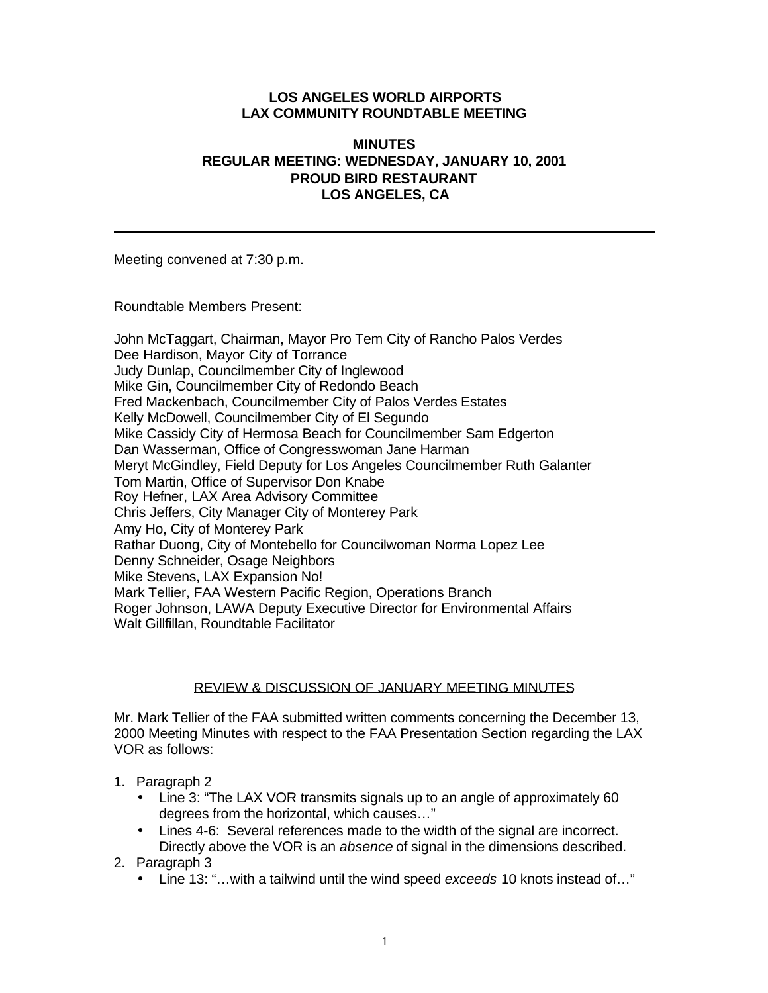### **LOS ANGELES WORLD AIRPORTS LAX COMMUNITY ROUNDTABLE MEETING**

### **MINUTES REGULAR MEETING: WEDNESDAY, JANUARY 10, 2001 PROUD BIRD RESTAURANT LOS ANGELES, CA**

Meeting convened at 7:30 p.m.

Roundtable Members Present:

John McTaggart, Chairman, Mayor Pro Tem City of Rancho Palos Verdes Dee Hardison, Mayor City of Torrance Judy Dunlap, Councilmember City of Inglewood Mike Gin, Councilmember City of Redondo Beach Fred Mackenbach, Councilmember City of Palos Verdes Estates Kelly McDowell, Councilmember City of El Segundo Mike Cassidy City of Hermosa Beach for Councilmember Sam Edgerton Dan Wasserman, Office of Congresswoman Jane Harman Meryt McGindley, Field Deputy for Los Angeles Councilmember Ruth Galanter Tom Martin, Office of Supervisor Don Knabe Roy Hefner, LAX Area Advisory Committee Chris Jeffers, City Manager City of Monterey Park Amy Ho, City of Monterey Park Rathar Duong, City of Montebello for Councilwoman Norma Lopez Lee Denny Schneider, Osage Neighbors Mike Stevens, LAX Expansion No! Mark Tellier, FAA Western Pacific Region, Operations Branch Roger Johnson, LAWA Deputy Executive Director for Environmental Affairs Walt Gillfillan, Roundtable Facilitator

### REVIEW & DISCUSSION OF JANUARY MEETING MINUTES

Mr. Mark Tellier of the FAA submitted written comments concerning the December 13, 2000 Meeting Minutes with respect to the FAA Presentation Section regarding the LAX VOR as follows:

- 1. Paragraph 2
	- Line 3: "The LAX VOR transmits signals up to an angle of approximately 60 degrees from the horizontal, which causes…"
	- Lines 4-6: Several references made to the width of the signal are incorrect. Directly above the VOR is an *absence* of signal in the dimensions described.
- 2. Paragraph 3
	- Line 13: "…with a tailwind until the wind speed *exceeds* 10 knots instead of…"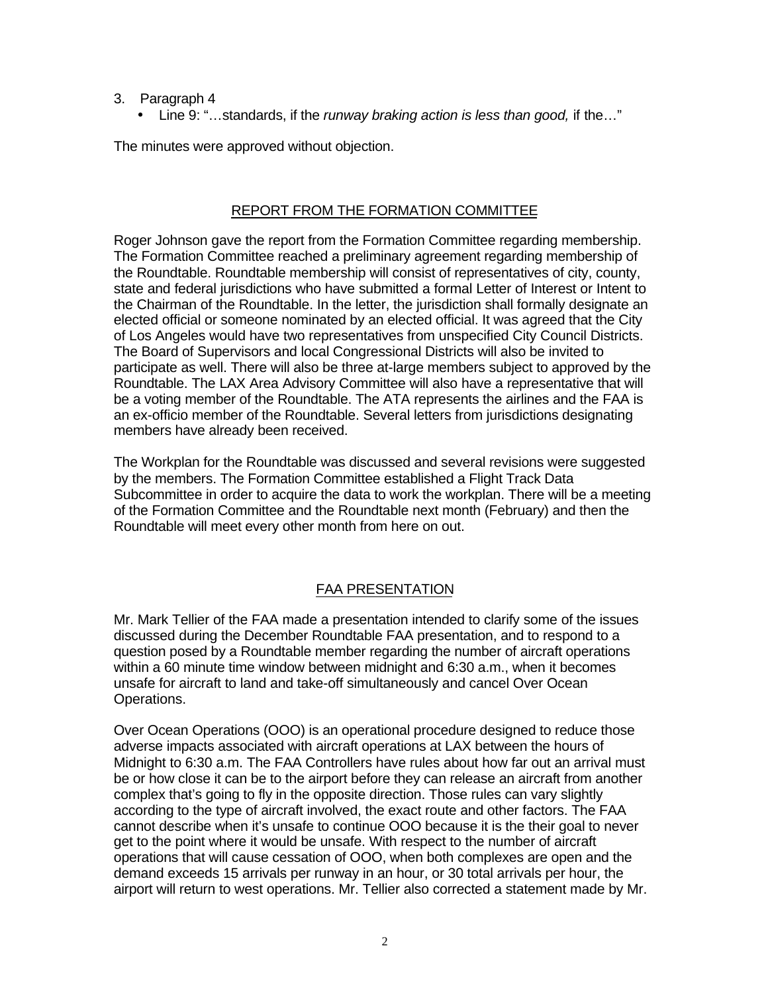- 3. Paragraph 4
	- Line 9: "…standards, if the *runway braking action is less than good,* if the…"

The minutes were approved without objection.

## REPORT FROM THE FORMATION COMMITTEE

Roger Johnson gave the report from the Formation Committee regarding membership. The Formation Committee reached a preliminary agreement regarding membership of the Roundtable. Roundtable membership will consist of representatives of city, county, state and federal jurisdictions who have submitted a formal Letter of Interest or Intent to the Chairman of the Roundtable. In the letter, the jurisdiction shall formally designate an elected official or someone nominated by an elected official. It was agreed that the City of Los Angeles would have two representatives from unspecified City Council Districts. The Board of Supervisors and local Congressional Districts will also be invited to participate as well. There will also be three at-large members subject to approved by the Roundtable. The LAX Area Advisory Committee will also have a representative that will be a voting member of the Roundtable. The ATA represents the airlines and the FAA is an ex-officio member of the Roundtable. Several letters from jurisdictions designating members have already been received.

The Workplan for the Roundtable was discussed and several revisions were suggested by the members. The Formation Committee established a Flight Track Data Subcommittee in order to acquire the data to work the workplan. There will be a meeting of the Formation Committee and the Roundtable next month (February) and then the Roundtable will meet every other month from here on out.

# FAA PRESENTATION

Mr. Mark Tellier of the FAA made a presentation intended to clarify some of the issues discussed during the December Roundtable FAA presentation, and to respond to a question posed by a Roundtable member regarding the number of aircraft operations within a 60 minute time window between midnight and 6:30 a.m., when it becomes unsafe for aircraft to land and take-off simultaneously and cancel Over Ocean Operations.

Over Ocean Operations (OOO) is an operational procedure designed to reduce those adverse impacts associated with aircraft operations at LAX between the hours of Midnight to 6:30 a.m. The FAA Controllers have rules about how far out an arrival must be or how close it can be to the airport before they can release an aircraft from another complex that's going to fly in the opposite direction. Those rules can vary slightly according to the type of aircraft involved, the exact route and other factors. The FAA cannot describe when it's unsafe to continue OOO because it is the their goal to never get to the point where it would be unsafe. With respect to the number of aircraft operations that will cause cessation of OOO, when both complexes are open and the demand exceeds 15 arrivals per runway in an hour, or 30 total arrivals per hour, the airport will return to west operations. Mr. Tellier also corrected a statement made by Mr.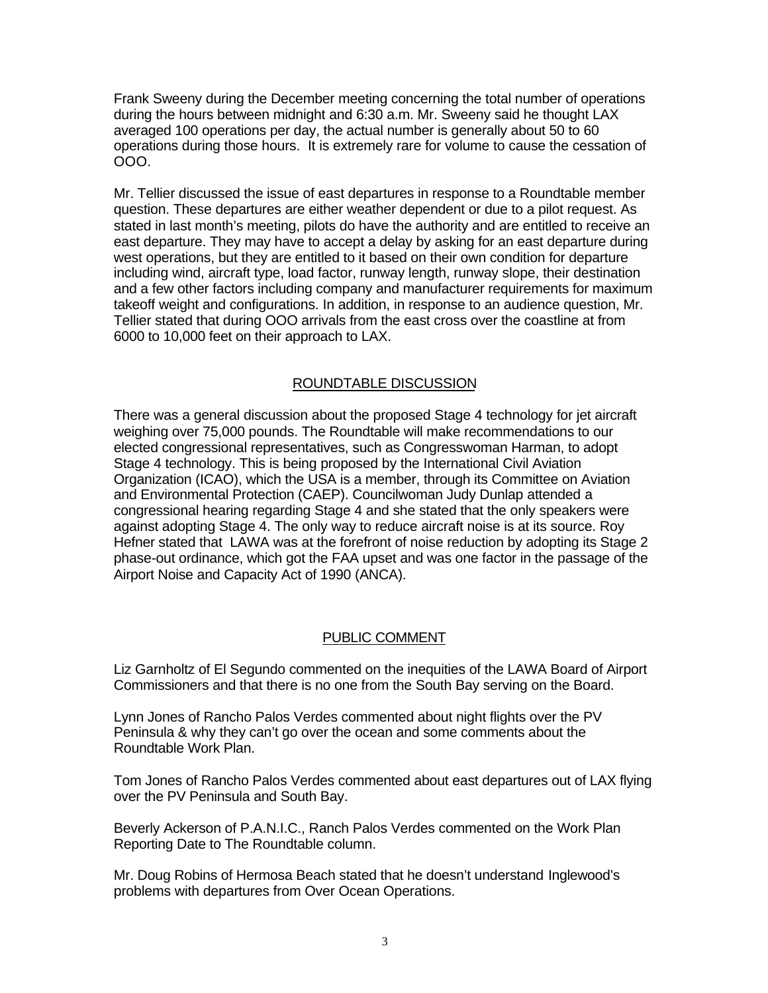Frank Sweeny during the December meeting concerning the total number of operations during the hours between midnight and 6:30 a.m. Mr. Sweeny said he thought LAX averaged 100 operations per day, the actual number is generally about 50 to 60 operations during those hours. It is extremely rare for volume to cause the cessation of OOO.

Mr. Tellier discussed the issue of east departures in response to a Roundtable member question. These departures are either weather dependent or due to a pilot request. As stated in last month's meeting, pilots do have the authority and are entitled to receive an east departure. They may have to accept a delay by asking for an east departure during west operations, but they are entitled to it based on their own condition for departure including wind, aircraft type, load factor, runway length, runway slope, their destination and a few other factors including company and manufacturer requirements for maximum takeoff weight and configurations. In addition, in response to an audience question, Mr. Tellier stated that during OOO arrivals from the east cross over the coastline at from 6000 to 10,000 feet on their approach to LAX.

## ROUNDTABLE DISCUSSION

There was a general discussion about the proposed Stage 4 technology for jet aircraft weighing over 75,000 pounds. The Roundtable will make recommendations to our elected congressional representatives, such as Congresswoman Harman, to adopt Stage 4 technology. This is being proposed by the International Civil Aviation Organization (ICAO), which the USA is a member, through its Committee on Aviation and Environmental Protection (CAEP). Councilwoman Judy Dunlap attended a congressional hearing regarding Stage 4 and she stated that the only speakers were against adopting Stage 4. The only way to reduce aircraft noise is at its source. Roy Hefner stated that LAWA was at the forefront of noise reduction by adopting its Stage 2 phase-out ordinance, which got the FAA upset and was one factor in the passage of the Airport Noise and Capacity Act of 1990 (ANCA).

### PUBLIC COMMENT

Liz Garnholtz of El Segundo commented on the inequities of the LAWA Board of Airport Commissioners and that there is no one from the South Bay serving on the Board.

Lynn Jones of Rancho Palos Verdes commented about night flights over the PV Peninsula & why they can't go over the ocean and some comments about the Roundtable Work Plan.

Tom Jones of Rancho Palos Verdes commented about east departures out of LAX flying over the PV Peninsula and South Bay.

Beverly Ackerson of P.A.N.I.C., Ranch Palos Verdes commented on the Work Plan Reporting Date to The Roundtable column.

Mr. Doug Robins of Hermosa Beach stated that he doesn't understand Inglewood's problems with departures from Over Ocean Operations.